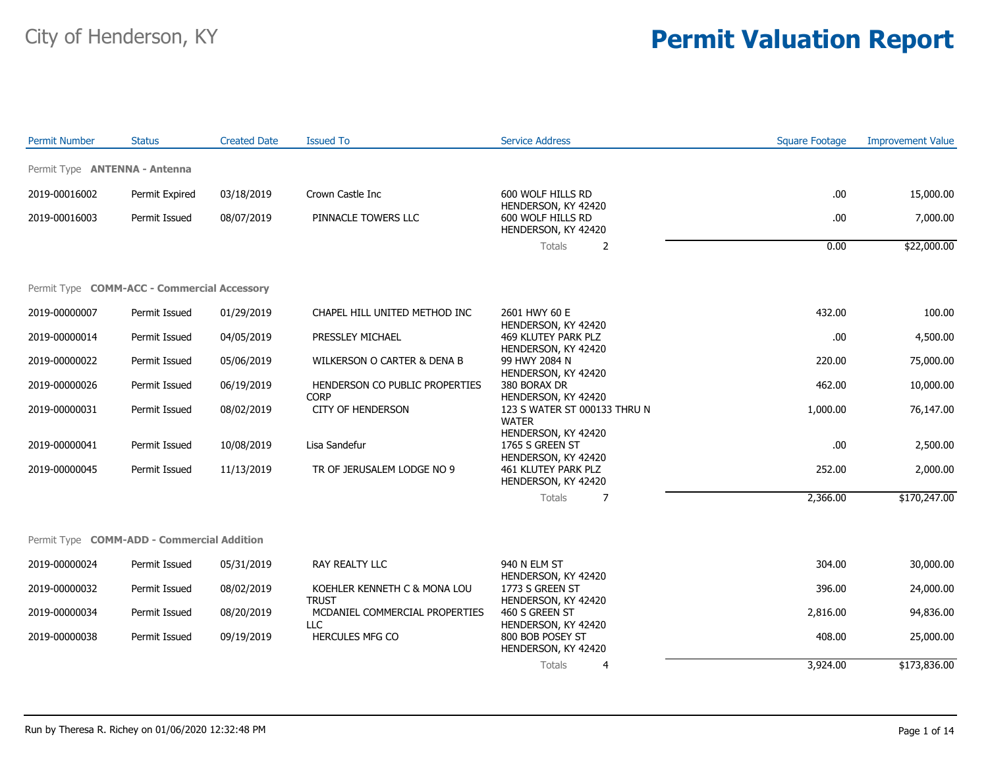| <b>Permit Number</b>                               | <b>Status</b>  | <b>Created Date</b> | <b>Issued To</b>                               | <b>Service Address</b>                                              | <b>Square Footage</b> | <b>Improvement Value</b> |
|----------------------------------------------------|----------------|---------------------|------------------------------------------------|---------------------------------------------------------------------|-----------------------|--------------------------|
| Permit Type <b>ANTENNA - Antenna</b>               |                |                     |                                                |                                                                     |                       |                          |
| 2019-00016002                                      | Permit Expired | 03/18/2019          | Crown Castle Inc                               | 600 WOLF HILLS RD                                                   | .00                   | 15,000.00                |
| 2019-00016003                                      | Permit Issued  | 08/07/2019          | PINNACLE TOWERS LLC                            | HENDERSON, KY 42420<br>600 WOLF HILLS RD<br>HENDERSON, KY 42420     | .00.                  | 7,000.00                 |
|                                                    |                |                     |                                                | Totals<br>2                                                         | 0.00                  | \$22,000.00              |
| Permit Type <b>COMM-ACC - Commercial Accessory</b> |                |                     |                                                |                                                                     |                       |                          |
| 2019-00000007                                      | Permit Issued  | 01/29/2019          | CHAPEL HILL UNITED METHOD INC                  | 2601 HWY 60 E                                                       | 432.00                | 100.00                   |
| 2019-00000014                                      | Permit Issued  | 04/05/2019          | PRESSLEY MICHAEL                               | HENDERSON, KY 42420<br>469 KLUTEY PARK PLZ                          | .00                   | 4,500.00                 |
| 2019-00000022                                      | Permit Issued  | 05/06/2019          | WILKERSON O CARTER & DENA B                    | HENDERSON, KY 42420<br>99 HWY 2084 N                                | 220.00                | 75,000.00                |
| 2019-00000026                                      | Permit Issued  | 06/19/2019          | HENDERSON CO PUBLIC PROPERTIES                 | HENDERSON, KY 42420<br>380 BORAX DR                                 | 462.00                | 10,000.00                |
| 2019-00000031                                      | Permit Issued  | 08/02/2019          | <b>CORP</b><br><b>CITY OF HENDERSON</b>        | HENDERSON, KY 42420<br>123 S WATER ST 000133 THRU N<br><b>WATER</b> | 1,000.00              | 76,147.00                |
| 2019-00000041                                      | Permit Issued  | 10/08/2019          | Lisa Sandefur                                  | HENDERSON, KY 42420<br>1765 S GREEN ST                              | .00                   | 2,500.00                 |
| 2019-00000045                                      | Permit Issued  | 11/13/2019          | TR OF JERUSALEM LODGE NO 9                     | HENDERSON, KY 42420<br>461 KLUTEY PARK PLZ<br>HENDERSON, KY 42420   | 252.00                | 2,000.00                 |
|                                                    |                |                     |                                                | Totals<br>7                                                         | 2,366.00              | \$170,247.00             |
| Permit Type <b>COMM-ADD - Commercial Addition</b>  |                |                     |                                                |                                                                     |                       |                          |
| 2019-00000024                                      | Permit Issued  | 05/31/2019          | RAY REALTY LLC                                 | 940 N ELM ST                                                        | 304.00                | 30,000.00                |
| 2019-00000032                                      | Permit Issued  | 08/02/2019          | KOEHLER KENNETH C & MONA LOU                   | HENDERSON, KY 42420<br>1773 S GREEN ST                              | 396.00                | 24,000.00                |
| 2019-00000034                                      | Permit Issued  | 08/20/2019          | <b>TRUST</b><br>MCDANIEL COMMERCIAL PROPERTIES | HENDERSON, KY 42420<br>460 S GREEN ST                               | 2,816.00              | 94,836.00                |
| 2019-00000038                                      | Permit Issued  | 09/19/2019          | <b>LLC</b><br>HERCULES MFG CO                  | HENDERSON, KY 42420<br>800 BOB POSEY ST<br>HENDERSON, KY 42420      | 408.00                | 25,000.00                |
|                                                    |                |                     |                                                | Totals<br>4                                                         | 3,924.00              | \$173,836.00             |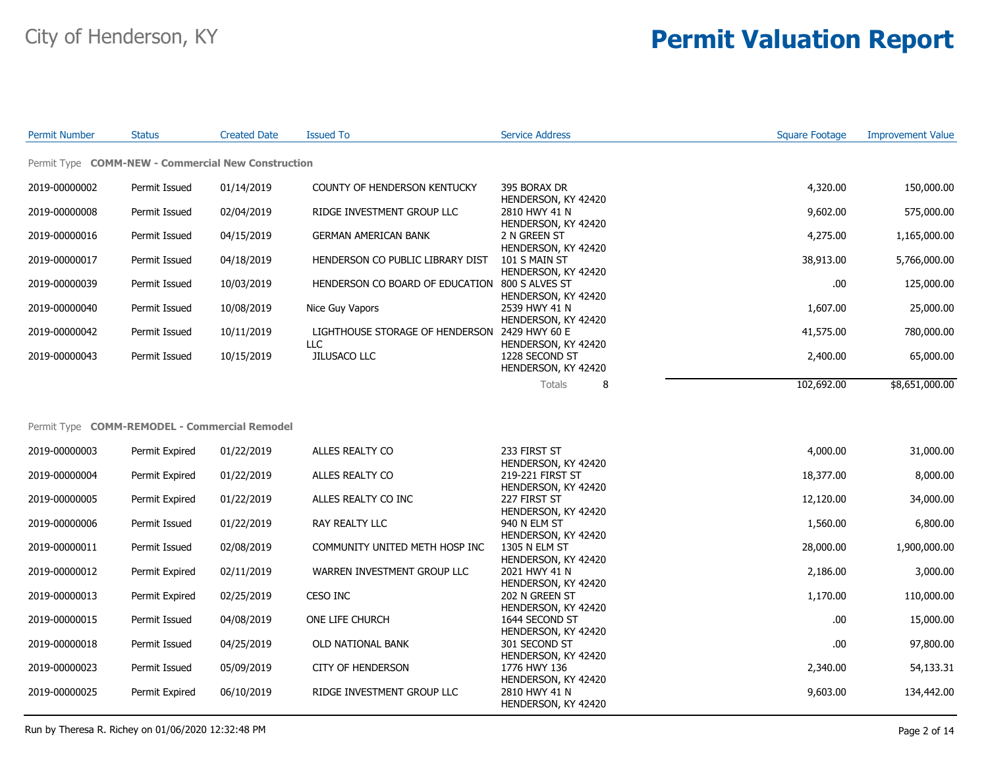| <b>Permit Number</b>                               | <b>Status</b>  | <b>Created Date</b> | <b>Issued To</b>                                     | Service Address                         | Square Footage | <b>Improvement Value</b> |
|----------------------------------------------------|----------------|---------------------|------------------------------------------------------|-----------------------------------------|----------------|--------------------------|
| Permit Type COMM-NEW - Commercial New Construction |                |                     |                                                      |                                         |                |                          |
| 2019-00000002                                      | Permit Issued  | 01/14/2019          | COUNTY OF HENDERSON KENTUCKY                         | 395 BORAX DR<br>HENDERSON, KY 42420     | 4,320.00       | 150,000.00               |
| 2019-00000008                                      | Permit Issued  | 02/04/2019          | RIDGE INVESTMENT GROUP LLC                           | 2810 HWY 41 N<br>HENDERSON, KY 42420    | 9,602.00       | 575,000.00               |
| 2019-00000016                                      | Permit Issued  | 04/15/2019          | <b>GERMAN AMERICAN BANK</b>                          | 2 N GREEN ST<br>HENDERSON, KY 42420     | 4,275.00       | 1,165,000.00             |
| 2019-00000017                                      | Permit Issued  | 04/18/2019          | HENDERSON CO PUBLIC LIBRARY DIST                     | 101 S MAIN ST<br>HENDERSON, KY 42420    | 38,913.00      | 5,766,000.00             |
| 2019-00000039                                      | Permit Issued  | 10/03/2019          | HENDERSON CO BOARD OF EDUCATION 800 S ALVES ST       | HENDERSON, KY 42420                     | .00            | 125,000.00               |
| 2019-00000040                                      | Permit Issued  | 10/08/2019          | Nice Guy Vapors                                      | 2539 HWY 41 N<br>HENDERSON, KY 42420    | 1,607.00       | 25,000.00                |
| 2019-00000042                                      | Permit Issued  | 10/11/2019          | LIGHTHOUSE STORAGE OF HENDERSON 2429 HWY 60 E<br>LLC | HENDERSON, KY 42420                     | 41,575.00      | 780,000.00               |
| 2019-00000043                                      | Permit Issued  | 10/15/2019          | JILUSACO LLC                                         | 1228 SECOND ST<br>HENDERSON, KY 42420   | 2,400.00       | 65,000.00                |
|                                                    |                |                     |                                                      | 8<br>Totals                             | 102,692.00     | \$8,651,000.00           |
| Permit Type COMM-REMODEL - Commercial Remodel      |                |                     |                                                      |                                         |                |                          |
|                                                    |                |                     |                                                      |                                         |                |                          |
| 2019-00000003                                      | Permit Expired | 01/22/2019          | ALLES REALTY CO                                      | 233 FIRST ST<br>HENDERSON, KY 42420     | 4,000.00       | 31,000.00                |
| 2019-00000004                                      | Permit Expired | 01/22/2019          | ALLES REALTY CO                                      | 219-221 FIRST ST<br>HENDERSON, KY 42420 | 18,377.00      | 8,000.00                 |
| 2019-00000005                                      | Permit Expired | 01/22/2019          | ALLES REALTY CO INC                                  | 227 FIRST ST<br>HENDERSON, KY 42420     | 12,120.00      | 34,000.00                |
| 2019-00000006                                      | Permit Issued  | 01/22/2019          | RAY REALTY LLC                                       | 940 N ELM ST<br>HENDERSON, KY 42420     | 1,560.00       | 6,800.00                 |
| 2019-00000011                                      | Permit Issued  | 02/08/2019          | COMMUNITY UNITED METH HOSP INC                       | 1305 N ELM ST<br>HENDERSON, KY 42420    | 28,000.00      | 1,900,000.00             |
| 2019-00000012                                      | Permit Expired | 02/11/2019          | WARREN INVESTMENT GROUP LLC                          | 2021 HWY 41 N<br>HENDERSON, KY 42420    | 2,186.00       | 3,000.00                 |
| 2019-00000013                                      | Permit Expired | 02/25/2019          | CESO INC                                             | 202 N GREEN ST<br>HENDERSON, KY 42420   | 1,170.00       | 110,000.00               |
| 2019-00000015                                      | Permit Issued  | 04/08/2019          | ONE LIFE CHURCH                                      | 1644 SECOND ST<br>HENDERSON, KY 42420   | .00            | 15,000.00                |
| 2019-00000018                                      | Permit Issued  | 04/25/2019          | OLD NATIONAL BANK                                    | 301 SECOND ST<br>HENDERSON, KY 42420    | .00            | 97,800.00                |
| 2019-00000023                                      | Permit Issued  | 05/09/2019          | <b>CITY OF HENDERSON</b>                             | 1776 HWY 136<br>HENDERSON, KY 42420     | 2,340.00       | 54,133.31                |
| 2019-00000025                                      | Permit Expired | 06/10/2019          | RIDGE INVESTMENT GROUP LLC                           | 2810 HWY 41 N<br>HENDERSON, KY 42420    | 9,603.00       | 134,442.00               |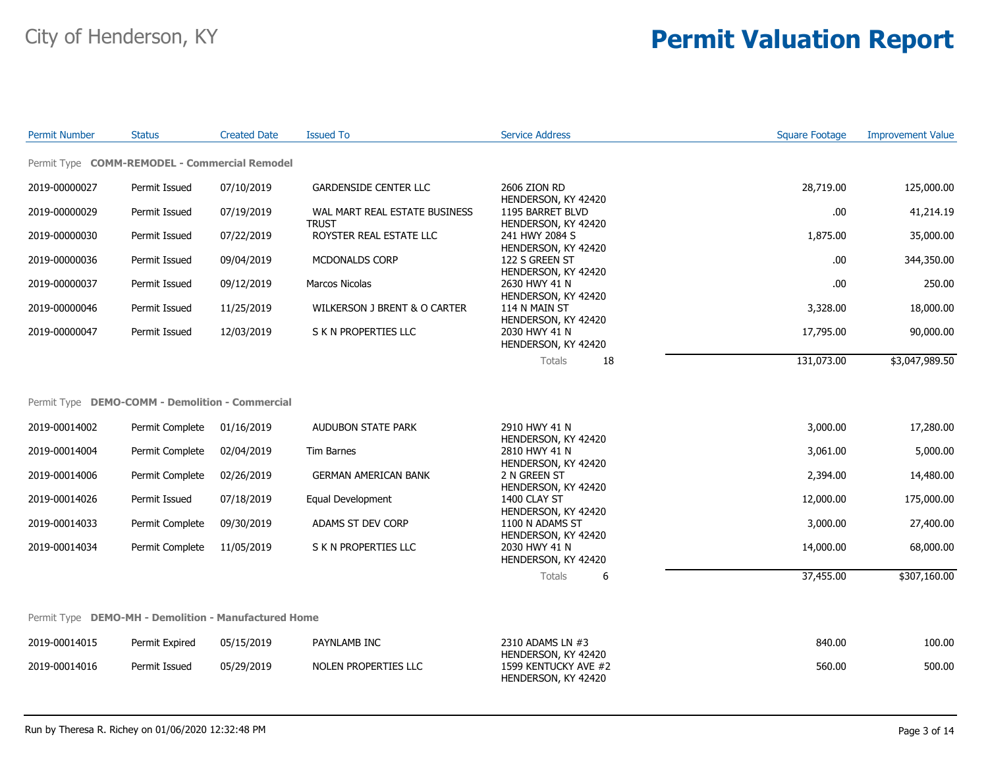| <b>Permit Number</b> | <b>Status</b>                                        | <b>Created Date</b> | <b>Issued To</b>                              | <b>Service Address</b>                                             | <b>Square Footage</b> | <b>Improvement Value</b> |
|----------------------|------------------------------------------------------|---------------------|-----------------------------------------------|--------------------------------------------------------------------|-----------------------|--------------------------|
|                      | Permit Type COMM-REMODEL - Commercial Remodel        |                     |                                               |                                                                    |                       |                          |
| 2019-00000027        | Permit Issued                                        | 07/10/2019          | <b>GARDENSIDE CENTER LLC</b>                  | 2606 ZION RD<br>HENDERSON, KY 42420                                | 28,719.00             | 125,000.00               |
| 2019-00000029        | Permit Issued                                        | 07/19/2019          | WAL MART REAL ESTATE BUSINESS<br><b>TRUST</b> | 1195 BARRET BLVD<br>HENDERSON, KY 42420                            | .00.                  | 41,214.19                |
| 2019-00000030        | Permit Issued                                        | 07/22/2019          | ROYSTER REAL ESTATE LLC                       | 241 HWY 2084 S<br>HENDERSON, KY 42420                              | 1,875.00              | 35,000.00                |
| 2019-00000036        | Permit Issued                                        | 09/04/2019          | MCDONALDS CORP                                | 122 S GREEN ST<br>HENDERSON, KY 42420                              | .00.                  | 344,350.00               |
| 2019-00000037        | Permit Issued                                        | 09/12/2019          | <b>Marcos Nicolas</b>                         | 2630 HWY 41 N<br>HENDERSON, KY 42420                               | .00.                  | 250.00                   |
| 2019-00000046        | Permit Issued                                        | 11/25/2019          | WILKERSON J BRENT & O CARTER                  | 114 N MAIN ST<br>HENDERSON, KY 42420                               | 3,328.00              | 18,000.00                |
| 2019-00000047        | Permit Issued                                        | 12/03/2019          | S K N PROPERTIES LLC                          | 2030 HWY 41 N<br>HENDERSON, KY 42420                               | 17,795.00             | 90,000.00                |
|                      |                                                      |                     |                                               | <b>Totals</b><br>18                                                | 131,073.00            | \$3,047,989.50           |
|                      | Permit Type DEMO-COMM - Demolition - Commercial      |                     |                                               |                                                                    |                       |                          |
| 2019-00014002        | Permit Complete                                      | 01/16/2019          | <b>AUDUBON STATE PARK</b>                     | 2910 HWY 41 N<br>HENDERSON, KY 42420                               | 3,000.00              | 17,280.00                |
| 2019-00014004        | Permit Complete                                      | 02/04/2019          | Tim Barnes                                    | 2810 HWY 41 N<br>HENDERSON, KY 42420                               | 3,061.00              | 5,000.00                 |
| 2019-00014006        | Permit Complete                                      | 02/26/2019          | <b>GERMAN AMERICAN BANK</b>                   | 2 N GREEN ST<br>HENDERSON, KY 42420                                | 2,394.00              | 14,480.00                |
| 2019-00014026        | Permit Issued                                        | 07/18/2019          | Equal Development                             | 1400 CLAY ST<br>HENDERSON, KY 42420                                | 12,000.00             | 175,000.00               |
| 2019-00014033        | Permit Complete                                      | 09/30/2019          | ADAMS ST DEV CORP                             | 1100 N ADAMS ST<br>HENDERSON, KY 42420                             | 3,000.00              | 27,400.00                |
| 2019-00014034        | Permit Complete                                      | 11/05/2019          | S K N PROPERTIES LLC                          | 2030 HWY 41 N<br>HENDERSON, KY 42420                               | 14,000.00             | 68,000.00                |
|                      |                                                      |                     |                                               | Totals<br>6                                                        | 37,455.00             | \$307,160.00             |
|                      | Permit Type DEMO-MH - Demolition - Manufactured Home |                     |                                               |                                                                    |                       |                          |
| 2019-00014015        | Permit Expired                                       | 05/15/2019          | PAYNLAMB INC                                  | 2310 ADAMS LN #3                                                   | 840.00                | 100.00                   |
| 2019-00014016        | Permit Issued                                        | 05/29/2019          | NOLEN PROPERTIES LLC                          | HENDERSON, KY 42420<br>1599 KENTUCKY AVE #2<br>HENDERSON, KY 42420 | 560.00                | 500.00                   |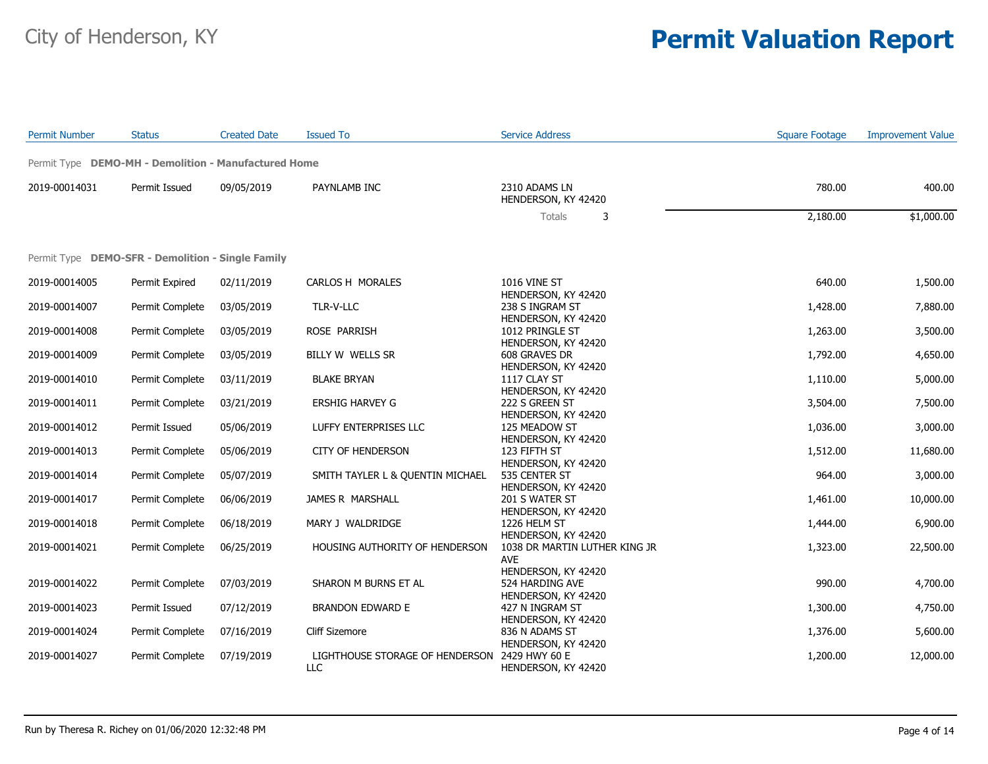| <b>Permit Number</b> | <b>Status</b>                                        | <b>Created Date</b> | <b>Issued To</b>                                     | <b>Service Address</b>                                        | <b>Square Footage</b> | <b>Improvement Value</b> |
|----------------------|------------------------------------------------------|---------------------|------------------------------------------------------|---------------------------------------------------------------|-----------------------|--------------------------|
|                      | Permit Type DEMO-MH - Demolition - Manufactured Home |                     |                                                      |                                                               |                       |                          |
| 2019-00014031        | Permit Issued                                        | 09/05/2019          | PAYNLAMB INC                                         | 2310 ADAMS LN<br>HENDERSON, KY 42420                          | 780.00                | 400.00                   |
|                      |                                                      |                     |                                                      | Totals<br>3                                                   | 2,180.00              | \$1,000.00               |
|                      | Permit Type DEMO-SFR - Demolition - Single Family    |                     |                                                      |                                                               |                       |                          |
| 2019-00014005        | Permit Expired                                       | 02/11/2019          | CARLOS H MORALES                                     | <b>1016 VINE ST</b><br>HENDERSON, KY 42420                    | 640.00                | 1,500.00                 |
| 2019-00014007        | Permit Complete                                      | 03/05/2019          | TLR-V-LLC                                            | 238 S INGRAM ST                                               | 1,428.00              | 7,880.00                 |
| 2019-00014008        | Permit Complete                                      | 03/05/2019          | ROSE PARRISH                                         | HENDERSON, KY 42420<br>1012 PRINGLE ST                        | 1,263.00              | 3,500.00                 |
| 2019-00014009        | Permit Complete                                      | 03/05/2019          | BILLY W WELLS SR                                     | HENDERSON, KY 42420<br>608 GRAVES DR<br>HENDERSON, KY 42420   | 1,792.00              | 4,650.00                 |
| 2019-00014010        | Permit Complete                                      | 03/11/2019          | <b>BLAKE BRYAN</b>                                   | 1117 CLAY ST                                                  | 1,110.00              | 5,000.00                 |
| 2019-00014011        | Permit Complete                                      | 03/21/2019          | ERSHIG HARVEY G                                      | HENDERSON, KY 42420<br>222 S GREEN ST                         | 3,504.00              | 7,500.00                 |
| 2019-00014012        | Permit Issued                                        | 05/06/2019          | LUFFY ENTERPRISES LLC                                | HENDERSON, KY 42420<br>125 MEADOW ST                          | 1,036.00              | 3,000.00                 |
| 2019-00014013        | Permit Complete                                      | 05/06/2019          | <b>CITY OF HENDERSON</b>                             | HENDERSON, KY 42420<br>123 FIFTH ST<br>HENDERSON, KY 42420    | 1,512.00              | 11,680.00                |
| 2019-00014014        | Permit Complete                                      | 05/07/2019          | SMITH TAYLER L & QUENTIN MICHAEL                     | 535 CENTER ST<br>HENDERSON, KY 42420                          | 964.00                | 3,000.00                 |
| 2019-00014017        | Permit Complete                                      | 06/06/2019          | JAMES R MARSHALL                                     | 201 S WATER ST<br>HENDERSON, KY 42420                         | 1,461.00              | 10,000.00                |
| 2019-00014018        | Permit Complete                                      | 06/18/2019          | MARY J WALDRIDGE                                     | 1226 HELM ST<br>HENDERSON, KY 42420                           | 1,444.00              | 6,900.00                 |
| 2019-00014021        | Permit Complete                                      | 06/25/2019          | HOUSING AUTHORITY OF HENDERSON                       | 1038 DR MARTIN LUTHER KING JR<br><b>AVE</b>                   | 1,323.00              | 22,500.00                |
| 2019-00014022        | Permit Complete                                      | 07/03/2019          | SHARON M BURNS ET AL                                 | HENDERSON, KY 42420<br>524 HARDING AVE<br>HENDERSON, KY 42420 | 990.00                | 4,700.00                 |
| 2019-00014023        | Permit Issued                                        | 07/12/2019          | <b>BRANDON EDWARD E</b>                              | 427 N INGRAM ST                                               | 1,300.00              | 4,750.00                 |
| 2019-00014024        | Permit Complete                                      | 07/16/2019          | Cliff Sizemore                                       | HENDERSON, KY 42420<br>836 N ADAMS ST                         | 1,376.00              | 5,600.00                 |
| 2019-00014027        | Permit Complete                                      | 07/19/2019          | LIGHTHOUSE STORAGE OF HENDERSON 2429 HWY 60 E<br>LLC | HENDERSON, KY 42420<br>HENDERSON, KY 42420                    | 1,200.00              | 12,000.00                |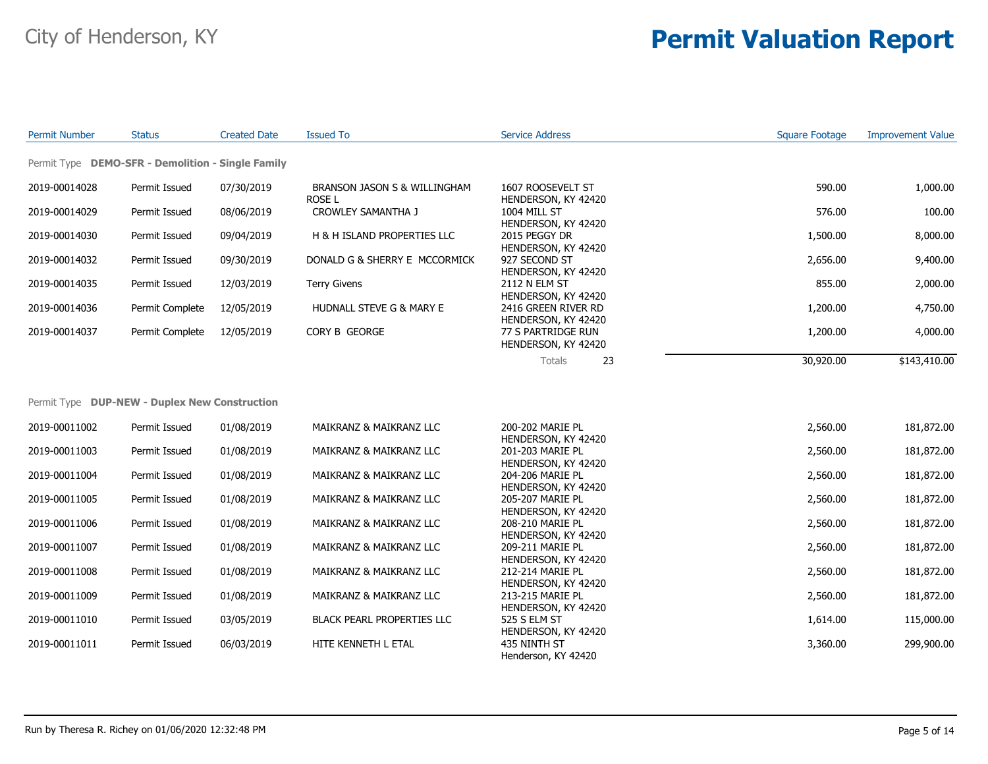| <b>Permit Number</b> | <b>Status</b>                                     | <b>Created Date</b> | <b>Issued To</b>                       | <b>Service Address</b>                     | <b>Square Footage</b> | <b>Improvement Value</b> |
|----------------------|---------------------------------------------------|---------------------|----------------------------------------|--------------------------------------------|-----------------------|--------------------------|
|                      | Permit Type DEMO-SFR - Demolition - Single Family |                     |                                        |                                            |                       |                          |
| 2019-00014028        | Permit Issued                                     | 07/30/2019          | BRANSON JASON S & WILLINGHAM<br>ROSE L | 1607 ROOSEVELT ST<br>HENDERSON, KY 42420   | 590.00                | 1,000.00                 |
| 2019-00014029        | Permit Issued                                     | 08/06/2019          | CROWLEY SAMANTHA J                     | 1004 MILL ST<br>HENDERSON, KY 42420        | 576.00                | 100.00                   |
| 2019-00014030        | Permit Issued                                     | 09/04/2019          | H & H ISLAND PROPERTIES LLC            | 2015 PEGGY DR<br>HENDERSON, KY 42420       | 1,500.00              | 8,000.00                 |
| 2019-00014032        | Permit Issued                                     | 09/30/2019          | DONALD G & SHERRY E MCCORMICK          | 927 SECOND ST<br>HENDERSON, KY 42420       | 2,656.00              | 9,400.00                 |
| 2019-00014035        | Permit Issued                                     | 12/03/2019          | <b>Terry Givens</b>                    | 2112 N ELM ST<br>HENDERSON, KY 42420       | 855.00                | 2,000.00                 |
| 2019-00014036        | Permit Complete                                   | 12/05/2019          | HUDNALL STEVE G & MARY E               | 2416 GREEN RIVER RD<br>HENDERSON, KY 42420 | 1,200.00              | 4,750.00                 |
| 2019-00014037        | Permit Complete                                   | 12/05/2019          | CORY B GEORGE                          | 77 S PARTRIDGE RUN<br>HENDERSON, KY 42420  | 1,200.00              | 4,000.00                 |
|                      |                                                   |                     |                                        | <b>Totals</b><br>23                        | 30,920.00             | \$143,410.00             |
|                      | Permit Type DUP-NEW - Duplex New Construction     |                     |                                        |                                            |                       |                          |
| 2019-00011002        | Permit Issued                                     | 01/08/2019          | MAIKRANZ & MAIKRANZ LLC                | 200-202 MARIE PL<br>HENDERSON, KY 42420    | 2,560.00              | 181,872.00               |
| 2019-00011003        | Permit Issued                                     | 01/08/2019          | MAIKRANZ & MAIKRANZ LLC                | 201-203 MARIE PL<br>HENDERSON, KY 42420    | 2,560.00              | 181,872.00               |
| 2019-00011004        | Permit Issued                                     | 01/08/2019          | MAIKRANZ & MAIKRANZ LLC                | 204-206 MARIE PL<br>HENDERSON, KY 42420    | 2,560.00              | 181,872.00               |
| 2019-00011005        | Permit Issued                                     | 01/08/2019          | MAIKRANZ & MAIKRANZ LLC                | 205-207 MARIE PL<br>HENDERSON, KY 42420    | 2,560.00              | 181,872.00               |
| 2019-00011006        | Permit Issued                                     | 01/08/2019          | MAIKRANZ & MAIKRANZ LLC                | 208-210 MARIE PL<br>HENDERSON, KY 42420    | 2,560.00              | 181,872.00               |
| 2019-00011007        | Permit Issued                                     | 01/08/2019          | MAIKRANZ & MAIKRANZ LLC                | 209-211 MARIE PL<br>HENDERSON, KY 42420    | 2,560.00              | 181,872.00               |
| 2019-00011008        | Permit Issued                                     | 01/08/2019          | MAIKRANZ & MAIKRANZ LLC                | 212-214 MARIE PL<br>HENDERSON, KY 42420    | 2,560.00              | 181,872.00               |
| 2019-00011009        | Permit Issued                                     | 01/08/2019          | MAIKRANZ & MAIKRANZ LLC                | 213-215 MARIE PL<br>HENDERSON, KY 42420    | 2,560.00              | 181,872.00               |
| 2019-00011010        | Permit Issued                                     | 03/05/2019          | <b>BLACK PEARL PROPERTIES LLC</b>      | 525 S ELM ST<br>HENDERSON, KY 42420        | 1,614.00              | 115,000.00               |
| 2019-00011011        | Permit Issued                                     | 06/03/2019          | HITE KENNETH L ETAL                    | 435 NINTH ST<br>Henderson, KY 42420        | 3,360.00              | 299,900.00               |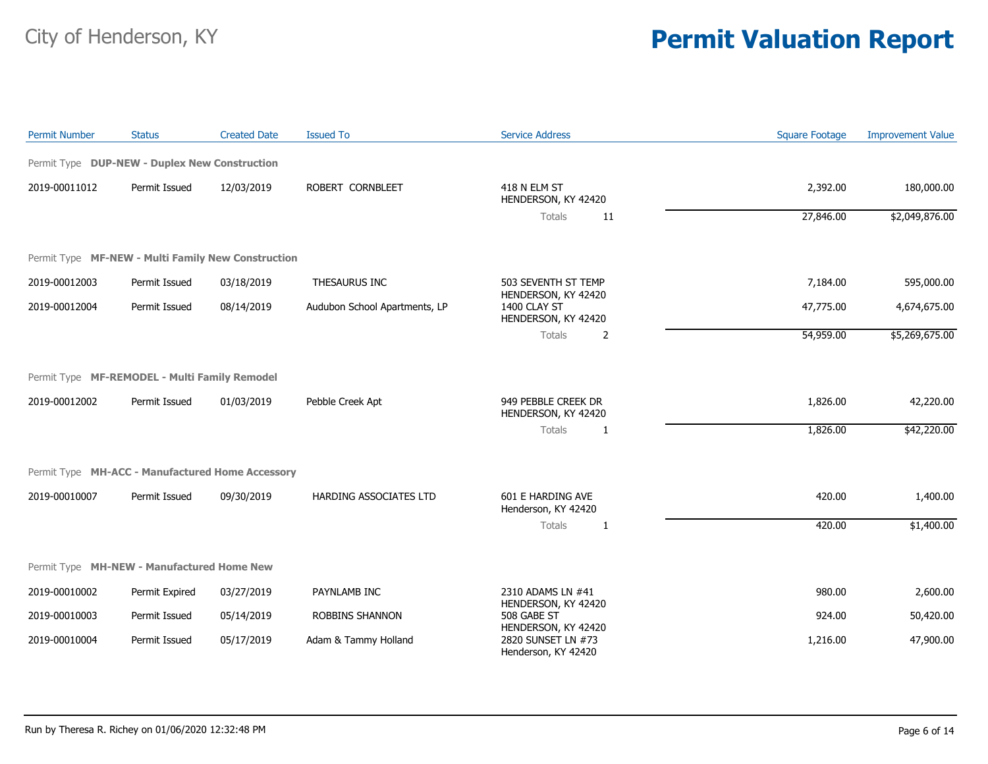| <b>Permit Number</b>           | <b>Status</b>                                      | <b>Created Date</b> | <b>Issued To</b>                           | <b>Service Address</b>                                           | <b>Square Footage</b> | <b>Improvement Value</b> |
|--------------------------------|----------------------------------------------------|---------------------|--------------------------------------------|------------------------------------------------------------------|-----------------------|--------------------------|
|                                | Permit Type DUP-NEW - Duplex New Construction      |                     |                                            |                                                                  |                       |                          |
| 2019-00011012<br>Permit Issued | 12/03/2019                                         | ROBERT CORNBLEET    | 418 N ELM ST<br>HENDERSON, KY 42420        | 2,392.00                                                         | 180,000.00            |                          |
|                                |                                                    |                     | Totals<br>11                               | 27,846.00                                                        | \$2,049,876.00        |                          |
|                                | Permit Type MF-NEW - Multi Family New Construction |                     |                                            |                                                                  |                       |                          |
| 2019-00012003                  | Permit Issued                                      | 03/18/2019          | THESAURUS INC                              | 503 SEVENTH ST TEMP                                              | 7,184.00              | 595,000.00               |
| 2019-00012004                  | Permit Issued                                      | 08/14/2019          | Audubon School Apartments, LP              | HENDERSON, KY 42420<br>1400 CLAY ST<br>HENDERSON, KY 42420       | 47,775.00             | 4,674,675.00             |
|                                |                                                    |                     |                                            | Totals<br>2                                                      | 54,959.00             | \$5,269,675.00           |
|                                | Permit Type MF-REMODEL - Multi Family Remodel      |                     |                                            |                                                                  |                       |                          |
| 2019-00012002<br>Permit Issued | 01/03/2019                                         | Pebble Creek Apt    | 949 PEBBLE CREEK DR<br>HENDERSON, KY 42420 | 1,826.00                                                         | 42,220.00             |                          |
|                                |                                                    |                     |                                            | <b>Totals</b><br>1                                               | 1,826.00              | \$42,220.00              |
|                                | Permit Type MH-ACC - Manufactured Home Accessory   |                     |                                            |                                                                  |                       |                          |
| 2019-00010007                  | Permit Issued                                      | 09/30/2019          | HARDING ASSOCIATES LTD                     | 601 E HARDING AVE<br>Henderson, KY 42420                         | 420.00                | 1,400.00                 |
|                                |                                                    |                     |                                            | Totals<br>1                                                      | 420.00                | \$1,400.00               |
|                                | Permit Type MH-NEW - Manufactured Home New         |                     |                                            |                                                                  |                       |                          |
| 2019-00010002                  | Permit Expired                                     | 03/27/2019          | PAYNLAMB INC                               | 2310 ADAMS LN #41                                                | 980.00                | 2,600.00                 |
| 2019-00010003                  | Permit Issued                                      | 05/14/2019          | <b>ROBBINS SHANNON</b>                     | HENDERSON, KY 42420<br>508 GABE ST                               | 924.00                | 50,420.00                |
| 2019-00010004                  | Permit Issued                                      | 05/17/2019          | Adam & Tammy Holland                       | HENDERSON, KY 42420<br>2820 SUNSET LN #73<br>Henderson, KY 42420 | 1,216.00              | 47,900.00                |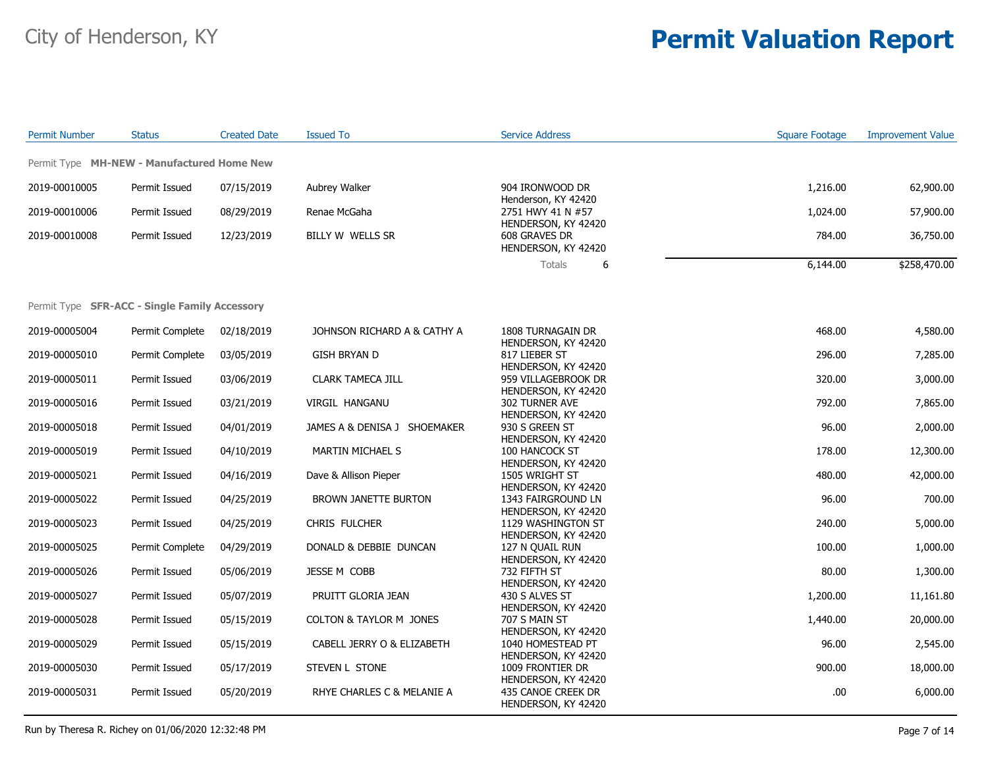| <b>Permit Number</b> | <b>Status</b>                                        | <b>Created Date</b> | <b>Issued To</b>             | <b>Service Address</b>                                      | <b>Square Footage</b> | <b>Improvement Value</b> |
|----------------------|------------------------------------------------------|---------------------|------------------------------|-------------------------------------------------------------|-----------------------|--------------------------|
|                      | Permit Type MH-NEW - Manufactured Home New           |                     |                              |                                                             |                       |                          |
| 2019-00010005        | Permit Issued                                        | 07/15/2019          | Aubrey Walker                | 904 IRONWOOD DR                                             | 1,216.00              | 62,900.00                |
|                      |                                                      |                     |                              | Henderson, KY 42420                                         |                       |                          |
| 2019-00010006        | Permit Issued                                        | 08/29/2019          | Renae McGaha                 | 2751 HWY 41 N #57                                           | 1,024.00              | 57,900.00                |
| 2019-00010008        | Permit Issued                                        | 12/23/2019          | BILLY W WELLS SR             | HENDERSON, KY 42420<br>608 GRAVES DR<br>HENDERSON, KY 42420 | 784.00                | 36,750.00                |
|                      |                                                      |                     |                              | Totals<br>6                                                 | 6,144.00              | \$258,470.00             |
|                      | Permit Type <b>SFR-ACC - Single Family Accessory</b> |                     |                              |                                                             |                       |                          |
|                      |                                                      |                     |                              |                                                             |                       |                          |
| 2019-00005004        | Permit Complete                                      | 02/18/2019          | JOHNSON RICHARD A & CATHY A  | 1808 TURNAGAIN DR                                           | 468.00                | 4,580.00                 |
| 2019-00005010        | Permit Complete                                      | 03/05/2019          | <b>GISH BRYAN D</b>          | HENDERSON, KY 42420<br>817 LIEBER ST                        | 296.00                | 7,285.00                 |
| 2019-00005011        | Permit Issued                                        | 03/06/2019          | CLARK TAMECA JILL            | HENDERSON, KY 42420<br>959 VILLAGEBROOK DR                  | 320.00                | 3,000.00                 |
| 2019-00005016        | Permit Issued                                        | 03/21/2019          | VIRGIL HANGANU               | HENDERSON, KY 42420<br>302 TURNER AVE                       | 792.00                | 7,865.00                 |
| 2019-00005018        | Permit Issued                                        | 04/01/2019          | JAMES A & DENISA J SHOEMAKER | HENDERSON, KY 42420<br>930 S GREEN ST                       | 96.00                 | 2,000.00                 |
|                      |                                                      |                     |                              | HENDERSON, KY 42420                                         |                       |                          |
| 2019-00005019        | Permit Issued                                        | 04/10/2019          | MARTIN MICHAEL S             | 100 HANCOCK ST<br>HENDERSON, KY 42420                       | 178.00                | 12,300.00                |
| 2019-00005021        | Permit Issued                                        | 04/16/2019          | Dave & Allison Pieper        | 1505 WRIGHT ST                                              | 480.00                | 42,000.00                |
| 2019-00005022        | Permit Issued                                        | 04/25/2019          | BROWN JANETTE BURTON         | HENDERSON, KY 42420<br>1343 FAIRGROUND LN                   | 96.00                 | 700.00                   |
| 2019-00005023        | Permit Issued                                        | 04/25/2019          | CHRIS FULCHER                | HENDERSON, KY 42420<br>1129 WASHINGTON ST                   | 240.00                | 5,000.00                 |
| 2019-00005025        | Permit Complete                                      | 04/29/2019          | DONALD & DEBBIE DUNCAN       | HENDERSON, KY 42420<br>127 N QUAIL RUN                      | 100.00                | 1,000.00                 |
|                      |                                                      |                     |                              | HENDERSON, KY 42420                                         |                       |                          |
| 2019-00005026        | Permit Issued                                        | 05/06/2019          | JESSE M COBB                 | 732 FIFTH ST<br>HENDERSON, KY 42420                         | 80.00                 | 1,300.00                 |
| 2019-00005027        | Permit Issued                                        | 05/07/2019          | PRUITT GLORIA JEAN           | 430 S ALVES ST                                              | 1,200.00              | 11,161.80                |
| 2019-00005028        | Permit Issued                                        | 05/15/2019          | COLTON & TAYLOR M JONES      | HENDERSON, KY 42420<br>707 S MAIN ST                        | 1,440.00              | 20,000.00                |
| 2019-00005029        | Permit Issued                                        | 05/15/2019          | CABELL JERRY O & ELIZABETH   | HENDERSON, KY 42420<br>1040 HOMESTEAD PT                    | 96.00                 | 2,545.00                 |
|                      |                                                      |                     |                              | HENDERSON, KY 42420                                         |                       |                          |
| 2019-00005030        | Permit Issued                                        | 05/17/2019          | STEVEN L STONE               | 1009 FRONTIER DR<br>HENDERSON, KY 42420                     | 900.00                | 18,000.00                |
| 2019-00005031        | Permit Issued                                        | 05/20/2019          | RHYE CHARLES C & MELANIE A   | 435 CANOE CREEK DR<br>HENDERSON, KY 42420                   | .00                   | 6,000.00                 |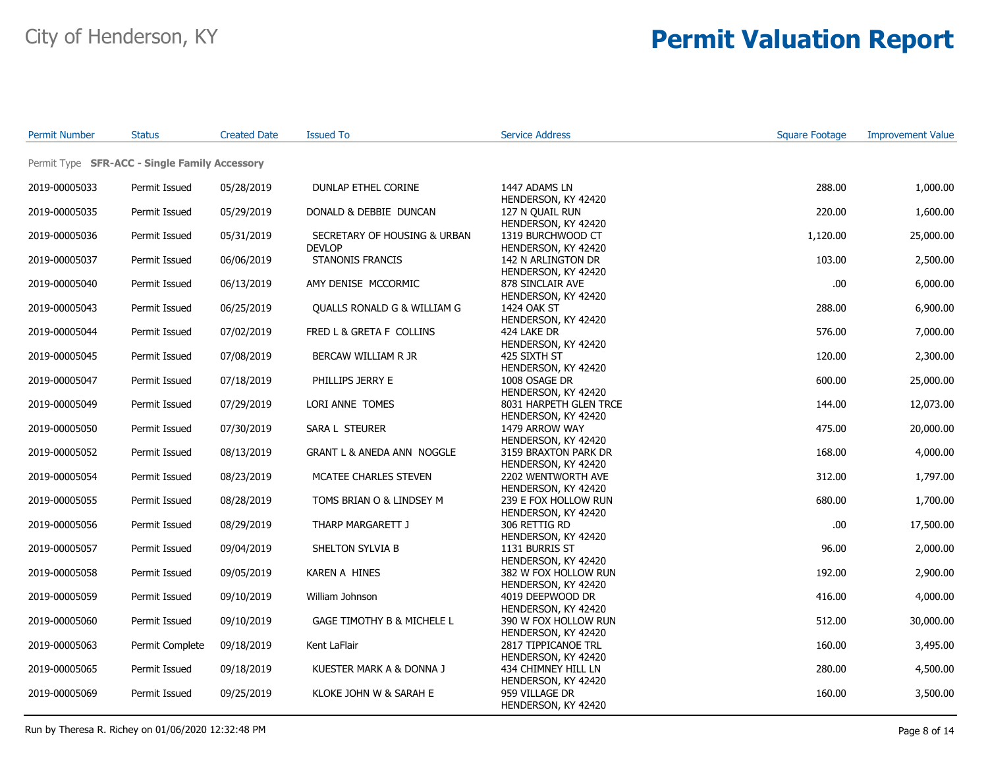| <b>Permit Number</b> | Status                                        | <b>Created Date</b> | <b>Issued To</b>                              | <b>Service Address</b>                        | <b>Square Footage</b> | <b>Improvement Value</b> |
|----------------------|-----------------------------------------------|---------------------|-----------------------------------------------|-----------------------------------------------|-----------------------|--------------------------|
|                      | Permit Type SFR-ACC - Single Family Accessory |                     |                                               |                                               |                       |                          |
| 2019-00005033        | Permit Issued                                 | 05/28/2019          | DUNLAP ETHEL CORINE                           | 1447 ADAMS LN<br>HENDERSON, KY 42420          | 288.00                | 1,000.00                 |
| 2019-00005035        | Permit Issued                                 | 05/29/2019          | DONALD & DEBBIE DUNCAN                        | 127 N QUAIL RUN<br>HENDERSON, KY 42420        | 220.00                | 1,600.00                 |
| 2019-00005036        | Permit Issued                                 | 05/31/2019          | SECRETARY OF HOUSING & URBAN<br><b>DEVLOP</b> | 1319 BURCHWOOD CT<br>HENDERSON, KY 42420      | 1,120.00              | 25,000.00                |
| 2019-00005037        | Permit Issued                                 | 06/06/2019          | <b>STANONIS FRANCIS</b>                       | 142 N ARLINGTON DR<br>HENDERSON, KY 42420     | 103.00                | 2,500.00                 |
| 2019-00005040        | Permit Issued                                 | 06/13/2019          | AMY DENISE MCCORMIC                           | 878 SINCLAIR AVE<br>HENDERSON, KY 42420       | .00.                  | 6,000.00                 |
| 2019-00005043        | Permit Issued                                 | 06/25/2019          | QUALLS RONALD G & WILLIAM G                   | 1424 OAK ST<br>HENDERSON, KY 42420            | 288.00                | 6,900.00                 |
| 2019-00005044        | Permit Issued                                 | 07/02/2019          | FRED L & GRETA F COLLINS                      | 424 LAKE DR<br>HENDERSON, KY 42420            | 576.00                | 7,000.00                 |
| 2019-00005045        | Permit Issued                                 | 07/08/2019          | BERCAW WILLIAM R JR                           | 425 SIXTH ST<br>HENDERSON, KY 42420           | 120.00                | 2,300.00                 |
| 2019-00005047        | Permit Issued                                 | 07/18/2019          | PHILLIPS JERRY E                              | 1008 OSAGE DR<br>HENDERSON, KY 42420          | 600.00                | 25,000.00                |
| 2019-00005049        | Permit Issued                                 | 07/29/2019          | LORI ANNE TOMES                               | 8031 HARPETH GLEN TRCE<br>HENDERSON, KY 42420 | 144.00                | 12,073.00                |
| 2019-00005050        | Permit Issued                                 | 07/30/2019          | SARA L STEURER                                | 1479 ARROW WAY<br>HENDERSON, KY 42420         | 475.00                | 20,000.00                |
| 2019-00005052        | Permit Issued                                 | 08/13/2019          | GRANT L & ANEDA ANN NOGGLE                    | 3159 BRAXTON PARK DR<br>HENDERSON, KY 42420   | 168.00                | 4,000.00                 |
| 2019-00005054        | Permit Issued                                 | 08/23/2019          | MCATEE CHARLES STEVEN                         | 2202 WENTWORTH AVE<br>HENDERSON, KY 42420     | 312.00                | 1,797.00                 |
| 2019-00005055        | Permit Issued                                 | 08/28/2019          | TOMS BRIAN O & LINDSEY M                      | 239 E FOX HOLLOW RUN<br>HENDERSON, KY 42420   | 680.00                | 1,700.00                 |
| 2019-00005056        | Permit Issued                                 | 08/29/2019          | THARP MARGARETT J                             | 306 RETTIG RD<br>HENDERSON, KY 42420          | .00.                  | 17,500.00                |
| 2019-00005057        | Permit Issued                                 | 09/04/2019          | SHELTON SYLVIA B                              | 1131 BURRIS ST<br>HENDERSON, KY 42420         | 96.00                 | 2,000.00                 |
| 2019-00005058        | Permit Issued                                 | 09/05/2019          | KAREN A HINES                                 | 382 W FOX HOLLOW RUN<br>HENDERSON, KY 42420   | 192.00                | 2,900.00                 |
| 2019-00005059        | Permit Issued                                 | 09/10/2019          | William Johnson                               | 4019 DEEPWOOD DR<br>HENDERSON, KY 42420       | 416.00                | 4,000.00                 |
| 2019-00005060        | Permit Issued                                 | 09/10/2019          | GAGE TIMOTHY B & MICHELE L                    | 390 W FOX HOLLOW RUN<br>HENDERSON, KY 42420   | 512.00                | 30,000.00                |
| 2019-00005063        | Permit Complete                               | 09/18/2019          | Kent LaFlair                                  | 2817 TIPPICANOE TRL<br>HENDERSON, KY 42420    | 160.00                | 3,495.00                 |
| 2019-00005065        | Permit Issued                                 | 09/18/2019          | KUESTER MARK A & DONNA J                      | 434 CHIMNEY HILL LN<br>HENDERSON, KY 42420    | 280.00                | 4,500.00                 |
| 2019-00005069        | Permit Issued                                 | 09/25/2019          | KLOKE JOHN W & SARAH E                        | 959 VILLAGE DR<br>HENDERSON, KY 42420         | 160.00                | 3,500.00                 |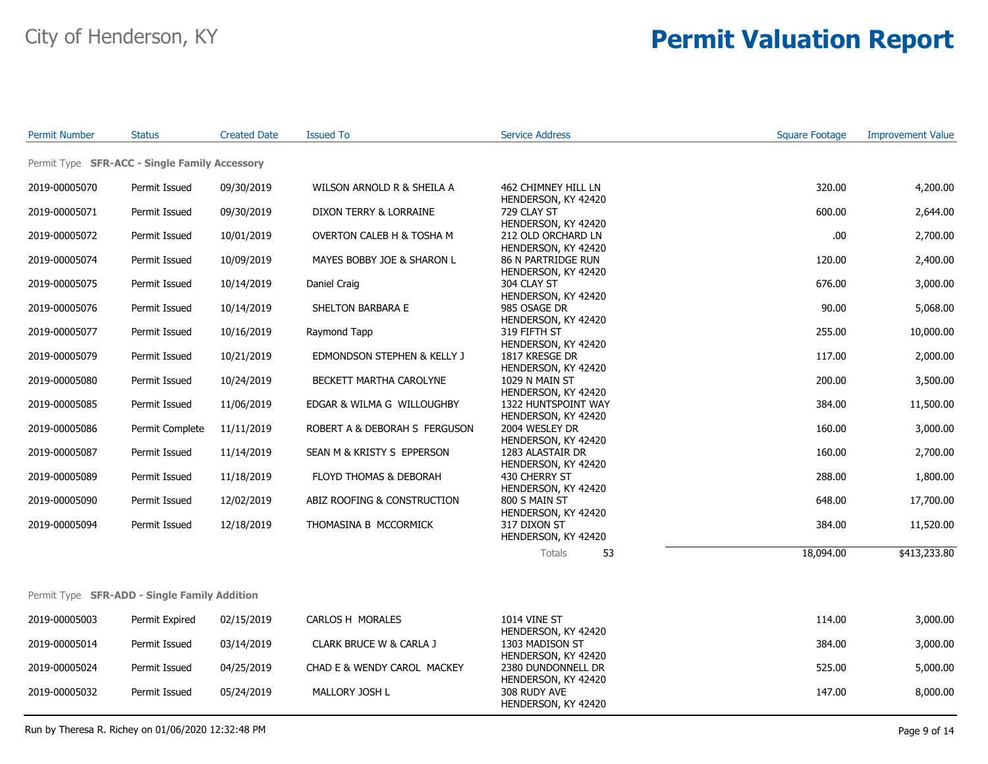| <b>Permit Number</b>                                 | <b>Status</b>   | <b>Created Date</b> | <b>Issued To</b>              | <b>Service Address</b>                                       | <b>Square Footage</b> | <b>Improvement Value</b> |
|------------------------------------------------------|-----------------|---------------------|-------------------------------|--------------------------------------------------------------|-----------------------|--------------------------|
| Permit Type <b>SFR-ACC - Single Family Accessory</b> |                 |                     |                               |                                                              |                       |                          |
| 2019-00005070                                        | Permit Issued   | 09/30/2019          | WILSON ARNOLD R & SHEILA A    | 462 CHIMNEY HILL LN                                          | 320.00                | 4,200.00                 |
| 2019-00005071                                        | Permit Issued   | 09/30/2019          | DIXON TERRY & LORRAINE        | HENDERSON, KY 42420<br>729 CLAY ST                           | 600.00                | 2,644.00                 |
| 2019-00005072                                        | Permit Issued   | 10/01/2019          | OVERTON CALEB H & TOSHA M     | HENDERSON, KY 42420<br>212 OLD ORCHARD LN                    | .00.                  | 2,700.00                 |
| 2019-00005074                                        | Permit Issued   | 10/09/2019          | MAYES BOBBY JOE & SHARON L    | HENDERSON, KY 42420<br><b>86 N PARTRIDGE RUN</b>             | 120.00                | 2,400.00                 |
| 2019-00005075                                        | Permit Issued   | 10/14/2019          | Daniel Craig                  | HENDERSON, KY 42420<br>304 CLAY ST                           | 676.00                | 3,000.00                 |
| 2019-00005076                                        | Permit Issued   | 10/14/2019          | SHELTON BARBARA E             | HENDERSON, KY 42420<br>985 OSAGE DR                          | 90.00                 | 5,068.00                 |
| 2019-00005077                                        | Permit Issued   | 10/16/2019          | Raymond Tapp                  | HENDERSON, KY 42420<br>319 FIFTH ST                          | 255.00                | 10,000.00                |
| 2019-00005079                                        | Permit Issued   | 10/21/2019          | EDMONDSON STEPHEN & KELLY J   | HENDERSON, KY 42420<br>1817 KRESGE DR                        | 117.00                | 2,000.00                 |
| 2019-00005080                                        | Permit Issued   | 10/24/2019          | BECKETT MARTHA CAROLYNE       | HENDERSON, KY 42420<br>1029 N MAIN ST<br>HENDERSON, KY 42420 | 200.00                | 3,500.00                 |
| 2019-00005085                                        | Permit Issued   | 11/06/2019          | EDGAR & WILMA G WILLOUGHBY    | 1322 HUNTSPOINT WAY                                          | 384.00                | 11,500.00                |
| 2019-00005086                                        | Permit Complete | 11/11/2019          | ROBERT A & DEBORAH S FERGUSON | HENDERSON, KY 42420<br>2004 WESLEY DR                        | 160.00                | 3,000.00                 |
| 2019-00005087                                        | Permit Issued   | 11/14/2019          | SEAN M & KRISTY S EPPERSON    | HENDERSON, KY 42420<br>1283 ALASTAIR DR                      | 160.00                | 2,700.00                 |
| 2019-00005089                                        | Permit Issued   | 11/18/2019          | FLOYD THOMAS & DEBORAH        | HENDERSON, KY 42420<br>430 CHERRY ST                         | 288.00                | 1,800.00                 |
| 2019-00005090                                        | Permit Issued   | 12/02/2019          | ABIZ ROOFING & CONSTRUCTION   | HENDERSON, KY 42420<br>800 S MAIN ST                         | 648.00                | 17,700.00                |
| 2019-00005094                                        | Permit Issued   | 12/18/2019          | THOMASINA B MCCORMICK         | HENDERSON, KY 42420<br>317 DIXON ST<br>HENDERSON, KY 42420   | 384.00                | 11,520.00                |
|                                                      |                 |                     |                               | Totals<br>53                                                 | 18,094.00             | \$413,233.80             |
|                                                      |                 |                     |                               |                                                              |                       |                          |
| Permit Type SFR-ADD - Single Family Addition         |                 |                     |                               |                                                              |                       |                          |
| 2019-00005003                                        | Permit Expired  | 02/15/2019          | CARLOS H MORALES              | <b>1014 VINE ST</b><br>HENDERSON, KY 42420                   | 114.00                | 3,000.00                 |
| 2019-00005014                                        | Permit Issued   | 03/14/2019          | CLARK BRUCE W & CARLA J       | 1303 MADISON ST<br>HENDERSON, KY 42420                       | 384.00                | 3,000.00                 |
| 2019-00005024                                        | Permit Issued   | 04/25/2019          | CHAD E & WENDY CAROL MACKEY   | 2380 DUNDONNELL DR<br>HENDERSON, KY 42420                    | 525.00                | 5,000.00                 |
| 2019-00005032                                        | Permit Issued   | 05/24/2019          | MALLORY JOSH L                | 308 RUDY AVE<br>HENDERSON, KY 42420                          | 147.00                | 8,000.00                 |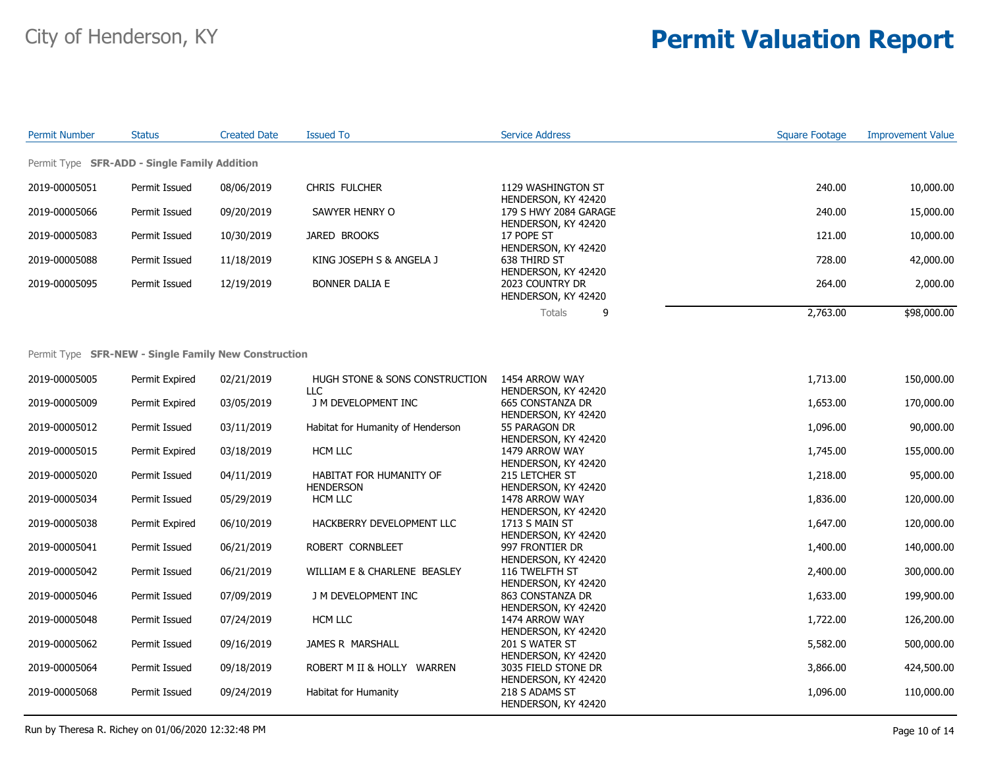| <b>Permit Number</b>                                | <b>Status</b> | <b>Created Date</b> | <b>Issued To</b>         | <b>Service Address</b>                       | Square Footage | <b>Improvement Value</b> |
|-----------------------------------------------------|---------------|---------------------|--------------------------|----------------------------------------------|----------------|--------------------------|
| Permit Type <b>SFR-ADD - Single Family Addition</b> |               |                     |                          |                                              |                |                          |
| 2019-00005051                                       | Permit Issued | 08/06/2019          | CHRIS FULCHER            | 1129 WASHINGTON ST<br>HENDERSON, KY 42420    | 240.00         | 10,000.00                |
| 2019-00005066                                       | Permit Issued | 09/20/2019          | SAWYER HENRY O           | 179 S HWY 2084 GARAGE<br>HENDERSON, KY 42420 | 240.00         | 15,000.00                |
| 2019-00005083                                       | Permit Issued | 10/30/2019          | JARED BROOKS             | 17 POPE ST<br>HENDERSON, KY 42420            | 121.00         | 10,000.00                |
| 2019-00005088                                       | Permit Issued | 11/18/2019          | KING JOSEPH S & ANGELA J | 638 THIRD ST<br>HENDERSON, KY 42420          | 728.00         | 42,000.00                |
| 2019-00005095                                       | Permit Issued | 12/19/2019          | <b>BONNER DALIA E</b>    | 2023 COUNTRY DR<br>HENDERSON, KY 42420       | 264.00         | 2,000.00                 |
|                                                     |               |                     |                          | 9<br>Totals                                  | 2,763.00       | \$98,000.00              |

#### Permit Type **SFR-NEW - Single Family New Construction**

| 2019-00005005 | Permit Expired | 02/21/2019 | HUGH STONE & SONS CONSTRUCTION    | 1454 ARROW WAY      | 1,713.00 | 150,000.00 |
|---------------|----------------|------------|-----------------------------------|---------------------|----------|------------|
|               |                |            | LLC.                              | HENDERSON, KY 42420 |          |            |
| 2019-00005009 | Permit Expired | 03/05/2019 | J M DEVELOPMENT INC               | 665 CONSTANZA DR    | 1,653.00 | 170,000.00 |
|               |                |            |                                   | HENDERSON, KY 42420 |          |            |
| 2019-00005012 | Permit Issued  | 03/11/2019 | Habitat for Humanity of Henderson | 55 PARAGON DR       | 1,096.00 | 90,000.00  |
|               |                |            |                                   | HENDERSON, KY 42420 |          |            |
| 2019-00005015 | Permit Expired | 03/18/2019 | HCM LLC                           | 1479 ARROW WAY      | 1,745.00 | 155,000.00 |
|               |                |            |                                   | HENDERSON, KY 42420 |          |            |
| 2019-00005020 | Permit Issued  | 04/11/2019 | HABITAT FOR HUMANITY OF           | 215 LETCHER ST      | 1,218.00 | 95,000.00  |
|               |                |            | <b>HENDERSON</b>                  | HENDERSON, KY 42420 |          |            |
| 2019-00005034 | Permit Issued  | 05/29/2019 | HCM LLC                           | 1478 ARROW WAY      | 1,836.00 | 120,000.00 |
|               |                |            |                                   | HENDERSON, KY 42420 |          |            |
| 2019-00005038 | Permit Expired | 06/10/2019 | HACKBERRY DEVELOPMENT LLC         | 1713 S MAIN ST      | 1,647.00 | 120,000.00 |
|               |                |            |                                   | HENDERSON, KY 42420 |          |            |
| 2019-00005041 | Permit Issued  | 06/21/2019 | ROBERT CORNBLEET                  | 997 FRONTIER DR     | 1,400.00 | 140,000.00 |
|               |                |            |                                   | HENDERSON, KY 42420 |          |            |
| 2019-00005042 | Permit Issued  | 06/21/2019 | WILLIAM E & CHARLENE BEASLEY      | 116 TWELFTH ST      | 2,400.00 | 300,000.00 |
|               |                |            |                                   | HENDERSON, KY 42420 |          |            |
| 2019-00005046 | Permit Issued  | 07/09/2019 | J M DEVELOPMENT INC               | 863 CONSTANZA DR    | 1,633.00 | 199,900.00 |
|               |                |            |                                   | HENDERSON, KY 42420 |          |            |
| 2019-00005048 | Permit Issued  | 07/24/2019 | HCM LLC                           | 1474 ARROW WAY      | 1,722.00 | 126,200.00 |
|               |                |            |                                   | HENDERSON, KY 42420 |          |            |
| 2019-00005062 | Permit Issued  | 09/16/2019 | JAMES R MARSHALL                  | 201 S WATER ST      | 5,582.00 | 500,000.00 |
|               |                |            |                                   | HENDERSON, KY 42420 |          |            |
| 2019-00005064 | Permit Issued  | 09/18/2019 | ROBERT M II & HOLLY<br>WARREN     | 3035 FIELD STONE DR | 3,866.00 | 424,500.00 |
|               |                |            |                                   | HENDERSON, KY 42420 |          |            |
| 2019-00005068 | Permit Issued  | 09/24/2019 | Habitat for Humanity              | 218 S ADAMS ST      | 1,096.00 | 110,000.00 |
|               |                |            |                                   | HENDERSON, KY 42420 |          |            |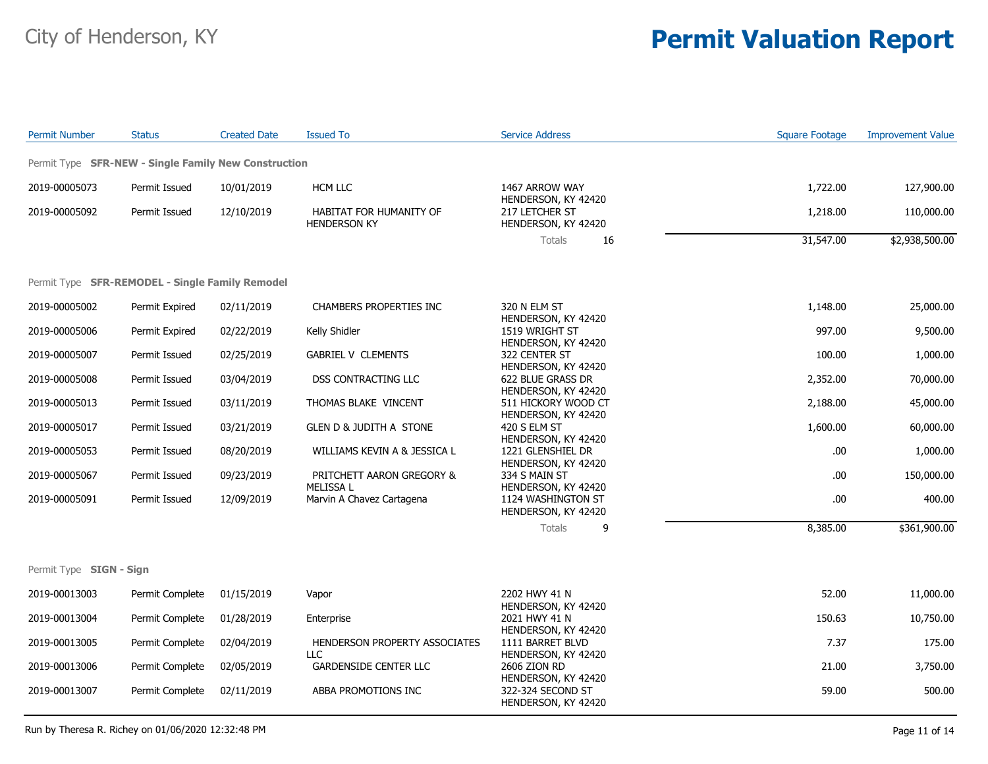| <b>Permit Number</b>                                        | <b>Status</b>   | <b>Created Date</b> | <b>Issued To</b>                               | <b>Service Address</b>                                          | <b>Square Footage</b> | <b>Improvement Value</b> |
|-------------------------------------------------------------|-----------------|---------------------|------------------------------------------------|-----------------------------------------------------------------|-----------------------|--------------------------|
| Permit Type <b>SFR-NEW - Single Family New Construction</b> |                 |                     |                                                |                                                                 |                       |                          |
| 2019-00005073                                               | Permit Issued   | 10/01/2019          | HCM LLC                                        | 1467 ARROW WAY                                                  | 1,722.00              | 127,900.00               |
| 2019-00005092                                               | Permit Issued   | 12/10/2019          | HABITAT FOR HUMANITY OF<br><b>HENDERSON KY</b> | HENDERSON, KY 42420<br>217 LETCHER ST<br>HENDERSON, KY 42420    | 1,218.00              | 110,000.00               |
|                                                             |                 |                     |                                                | <b>Totals</b><br>16                                             | 31,547.00             | \$2,938,500.00           |
| Permit Type SFR-REMODEL - Single Family Remodel             |                 |                     |                                                |                                                                 |                       |                          |
| 2019-00005002                                               | Permit Expired  | 02/11/2019          | CHAMBERS PROPERTIES INC                        | 320 N ELM ST                                                    | 1,148.00              | 25,000.00                |
| 2019-00005006                                               | Permit Expired  | 02/22/2019          | Kelly Shidler                                  | HENDERSON, KY 42420<br>1519 WRIGHT ST<br>HENDERSON, KY 42420    | 997.00                | 9,500.00                 |
| 2019-00005007                                               | Permit Issued   | 02/25/2019          | <b>GABRIEL V CLEMENTS</b>                      | 322 CENTER ST<br>HENDERSON, KY 42420                            | 100.00                | 1,000.00                 |
| 2019-00005008                                               | Permit Issued   | 03/04/2019          | DSS CONTRACTING LLC                            | 622 BLUE GRASS DR<br>HENDERSON, KY 42420                        | 2,352.00              | 70,000.00                |
| 2019-00005013                                               | Permit Issued   | 03/11/2019          | THOMAS BLAKE VINCENT                           | 511 HICKORY WOOD CT<br>HENDERSON, KY 42420                      | 2,188.00              | 45,000.00                |
| 2019-00005017                                               | Permit Issued   | 03/21/2019          | <b>GLEN D &amp; JUDITH A STONE</b>             | 420 S ELM ST<br>HENDERSON, KY 42420                             | 1,600.00              | 60,000.00                |
| 2019-00005053                                               | Permit Issued   | 08/20/2019          | WILLIAMS KEVIN A & JESSICA L                   | 1221 GLENSHIEL DR<br>HENDERSON, KY 42420                        | .00                   | 1,000.00                 |
| 2019-00005067                                               | Permit Issued   | 09/23/2019          | PRITCHETT AARON GREGORY &<br><b>MELISSA L</b>  | 334 S MAIN ST<br>HENDERSON, KY 42420                            | .00                   | 150,000.00               |
| 2019-00005091                                               | Permit Issued   | 12/09/2019          | Marvin A Chavez Cartagena                      | 1124 WASHINGTON ST<br>HENDERSON, KY 42420                       | .00                   | 400.00                   |
|                                                             |                 |                     |                                                | <b>Totals</b><br>9                                              | 8,385.00              | \$361,900.00             |
| Permit Type SIGN - Sign                                     |                 |                     |                                                |                                                                 |                       |                          |
| 2019-00013003                                               | Permit Complete | 01/15/2019          | Vapor                                          | 2202 HWY 41 N                                                   | 52.00                 | 11,000.00                |
| 2019-00013004                                               | Permit Complete | 01/28/2019          | Enterprise                                     | HENDERSON, KY 42420<br>2021 HWY 41 N                            | 150.63                | 10,750.00                |
| 2019-00013005                                               | Permit Complete | 02/04/2019          | HENDERSON PROPERTY ASSOCIATES                  | HENDERSON, KY 42420<br>1111 BARRET BLVD                         | 7.37                  | 175.00                   |
| 2019-00013006                                               | Permit Complete | 02/05/2019          | <b>LLC</b><br><b>GARDENSIDE CENTER LLC</b>     | HENDERSON, KY 42420<br>2606 ZION RD                             | 21.00                 | 3,750.00                 |
| 2019-00013007                                               | Permit Complete | 02/11/2019          | ABBA PROMOTIONS INC                            | HENDERSON, KY 42420<br>322-324 SECOND ST<br>HENDERSON, KY 42420 | 59.00                 | 500.00                   |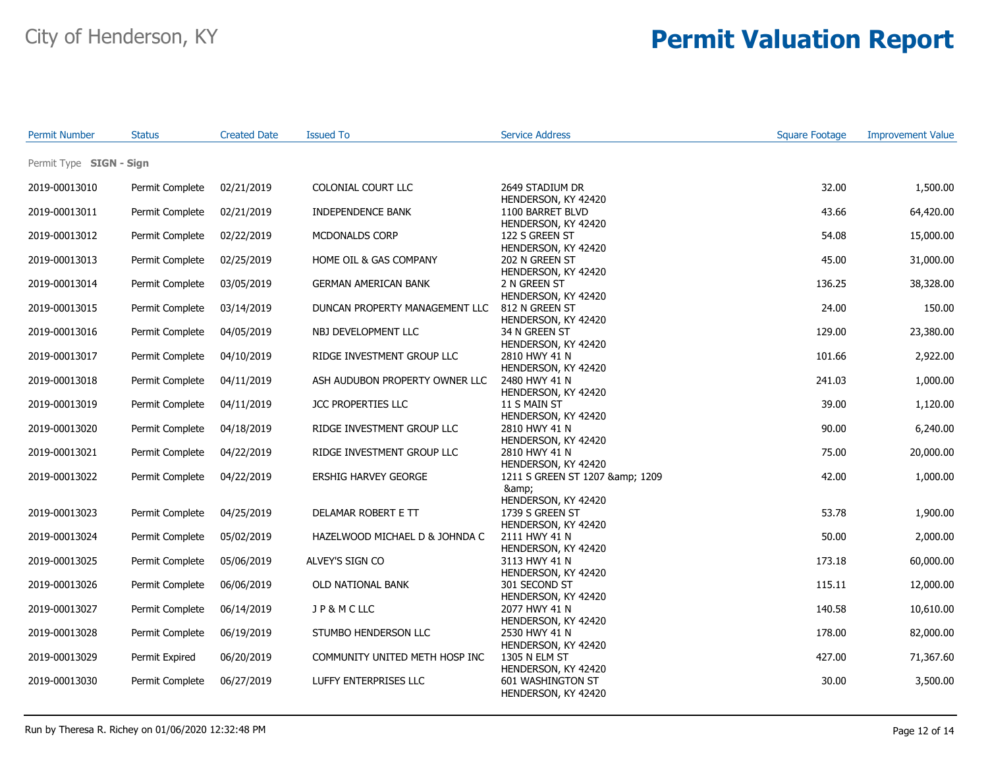| <b>Permit Number</b>    | <b>Status</b>   | <b>Created Date</b> | <b>Issued To</b>               | <b>Service Address</b>                                        | <b>Square Footage</b> | <b>Improvement Value</b> |
|-------------------------|-----------------|---------------------|--------------------------------|---------------------------------------------------------------|-----------------------|--------------------------|
| Permit Type SIGN - Sign |                 |                     |                                |                                                               |                       |                          |
| 2019-00013010           | Permit Complete | 02/21/2019          | COLONIAL COURT LLC             | 2649 STADIUM DR<br>HENDERSON, KY 42420                        | 32.00                 | 1,500.00                 |
| 2019-00013011           | Permit Complete | 02/21/2019          | INDEPENDENCE BANK              | 1100 BARRET BLVD<br>HENDERSON, KY 42420                       | 43.66                 | 64,420.00                |
| 2019-00013012           | Permit Complete | 02/22/2019          | MCDONALDS CORP                 | 122 S GREEN ST<br>HENDERSON, KY 42420                         | 54.08                 | 15,000.00                |
| 2019-00013013           | Permit Complete | 02/25/2019          | HOME OIL & GAS COMPANY         | 202 N GREEN ST<br>HENDERSON, KY 42420                         | 45.00                 | 31,000.00                |
| 2019-00013014           | Permit Complete | 03/05/2019          | <b>GERMAN AMERICAN BANK</b>    | 2 N GREEN ST<br>HENDERSON, KY 42420                           | 136.25                | 38,328.00                |
| 2019-00013015           | Permit Complete | 03/14/2019          | DUNCAN PROPERTY MANAGEMENT LLC | 812 N GREEN ST<br>HENDERSON, KY 42420                         | 24.00                 | 150.00                   |
| 2019-00013016           | Permit Complete | 04/05/2019          | NBJ DEVELOPMENT LLC            | 34 N GREEN ST<br>HENDERSON, KY 42420                          | 129.00                | 23,380.00                |
| 2019-00013017           | Permit Complete | 04/10/2019          | RIDGE INVESTMENT GROUP LLC     | 2810 HWY 41 N<br>HENDERSON, KY 42420                          | 101.66                | 2,922.00                 |
| 2019-00013018           | Permit Complete | 04/11/2019          | ASH AUDUBON PROPERTY OWNER LLC | 2480 HWY 41 N<br>HENDERSON, KY 42420                          | 241.03                | 1,000.00                 |
| 2019-00013019           | Permit Complete | 04/11/2019          | JCC PROPERTIES LLC             | 11 S MAIN ST<br>HENDERSON, KY 42420                           | 39.00                 | 1,120.00                 |
| 2019-00013020           | Permit Complete | 04/18/2019          | RIDGE INVESTMENT GROUP LLC     | 2810 HWY 41 N<br>HENDERSON, KY 42420                          | 90.00                 | 6,240.00                 |
| 2019-00013021           | Permit Complete | 04/22/2019          | RIDGE INVESTMENT GROUP LLC     | 2810 HWY 41 N<br>HENDERSON, KY 42420                          | 75.00                 | 20,000.00                |
| 2019-00013022           | Permit Complete | 04/22/2019          | <b>ERSHIG HARVEY GEORGE</b>    | 1211 S GREEN ST 1207 & amp; 1209<br>&                         | 42.00                 | 1,000.00                 |
| 2019-00013023           | Permit Complete | 04/25/2019          | DELAMAR ROBERT E TT            | HENDERSON, KY 42420<br>1739 S GREEN ST<br>HENDERSON, KY 42420 | 53.78                 | 1,900.00                 |
| 2019-00013024           | Permit Complete | 05/02/2019          | HAZELWOOD MICHAEL D & JOHNDA C | 2111 HWY 41 N<br>HENDERSON, KY 42420                          | 50.00                 | 2,000.00                 |
| 2019-00013025           | Permit Complete | 05/06/2019          | ALVEY'S SIGN CO                | 3113 HWY 41 N<br>HENDERSON, KY 42420                          | 173.18                | 60,000.00                |
| 2019-00013026           | Permit Complete | 06/06/2019          | OLD NATIONAL BANK              | 301 SECOND ST<br>HENDERSON, KY 42420                          | 115.11                | 12,000.00                |
| 2019-00013027           | Permit Complete | 06/14/2019          | JP&MCLLC                       | 2077 HWY 41 N<br>HENDERSON, KY 42420                          | 140.58                | 10,610.00                |
| 2019-00013028           | Permit Complete | 06/19/2019          | STUMBO HENDERSON LLC           | 2530 HWY 41 N<br>HENDERSON, KY 42420                          | 178.00                | 82,000.00                |
| 2019-00013029           | Permit Expired  | 06/20/2019          | COMMUNITY UNITED METH HOSP INC | 1305 N ELM ST<br>HENDERSON, KY 42420                          | 427.00                | 71,367.60                |
| 2019-00013030           | Permit Complete | 06/27/2019          | LUFFY ENTERPRISES LLC          | 601 WASHINGTON ST<br>HENDERSON, KY 42420                      | 30.00                 | 3,500.00                 |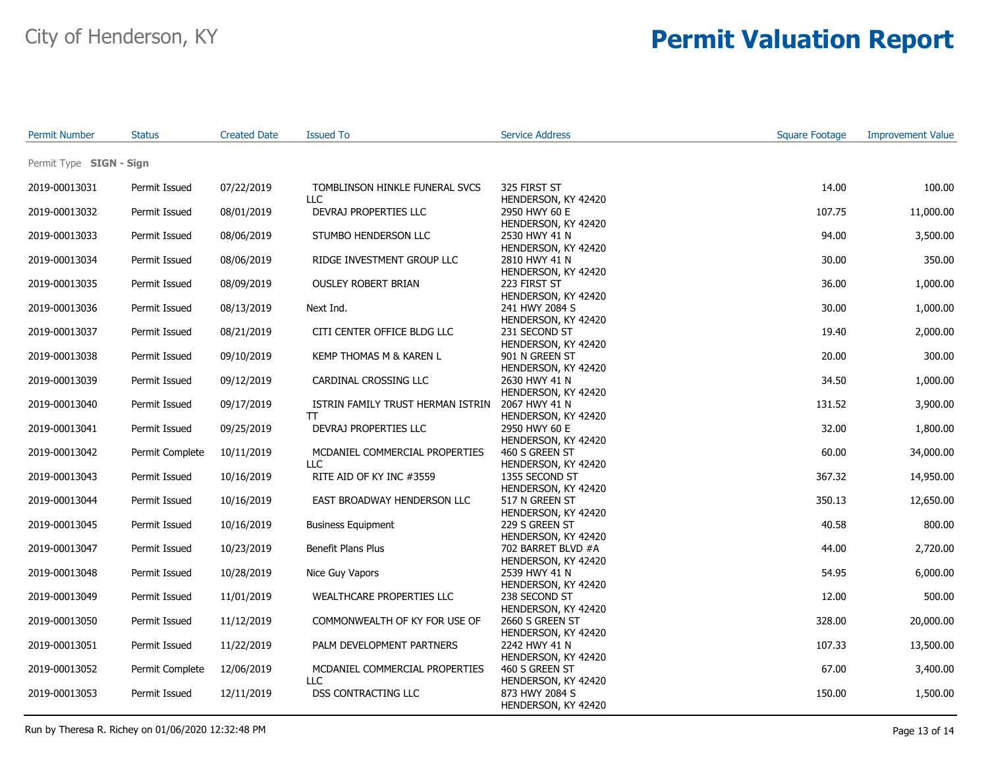| <b>Permit Number</b>           | <b>Status</b>                  | <b>Created Date</b>      | <b>Issued To</b>                                       | <b>Service Address</b>                                       | <b>Square Footage</b> | <b>Improvement Value</b> |
|--------------------------------|--------------------------------|--------------------------|--------------------------------------------------------|--------------------------------------------------------------|-----------------------|--------------------------|
| Permit Type SIGN - Sign        |                                |                          |                                                        |                                                              |                       |                          |
| 2019-00013031                  | Permit Issued                  | 07/22/2019               | TOMBLINSON HINKLE FUNERAL SVCS<br>LLC                  | 325 FIRST ST                                                 | 14.00                 | 100.00                   |
| 2019-00013032                  | Permit Issued                  | 08/01/2019               | DEVRAJ PROPERTIES LLC                                  | HENDERSON, KY 42420<br>2950 HWY 60 E<br>HENDERSON, KY 42420  | 107.75                | 11,000.00                |
| 2019-00013033                  | Permit Issued                  | 08/06/2019               | STUMBO HENDERSON LLC                                   | 2530 HWY 41 N<br>HENDERSON, KY 42420                         | 94.00                 | 3,500.00                 |
| 2019-00013034                  | Permit Issued                  | 08/06/2019               | RIDGE INVESTMENT GROUP LLC                             | 2810 HWY 41 N<br>HENDERSON, KY 42420                         | 30.00                 | 350.00                   |
| 2019-00013035                  | Permit Issued                  | 08/09/2019               | <b>OUSLEY ROBERT BRIAN</b>                             | 223 FIRST ST<br>HENDERSON, KY 42420                          | 36.00                 | 1,000.00                 |
| 2019-00013036                  | Permit Issued                  | 08/13/2019               | Next Ind.                                              | 241 HWY 2084 S<br>HENDERSON, KY 42420                        | 30.00                 | 1,000.00                 |
| 2019-00013037                  | Permit Issued                  | 08/21/2019               | CITI CENTER OFFICE BLDG LLC                            | 231 SECOND ST<br>HENDERSON, KY 42420                         | 19.40                 | 2,000.00                 |
| 2019-00013038                  | Permit Issued                  | 09/10/2019               | KEMP THOMAS M & KAREN L                                | 901 N GREEN ST<br>HENDERSON, KY 42420                        | 20.00                 | 300.00                   |
| 2019-00013039                  | Permit Issued                  | 09/12/2019               | CARDINAL CROSSING LLC                                  | 2630 HWY 41 N<br>HENDERSON, KY 42420                         | 34.50                 | 1,000.00                 |
| 2019-00013040                  | Permit Issued                  | 09/17/2019               | ISTRIN FAMILY TRUST HERMAN ISTRIN<br>T                 | 2067 HWY 41 N<br>HENDERSON, KY 42420                         | 131.52                | 3,900.00                 |
| 2019-00013041                  | Permit Issued                  | 09/25/2019               | DEVRAJ PROPERTIES LLC                                  | 2950 HWY 60 E<br>HENDERSON, KY 42420                         | 32.00                 | 1,800.00                 |
| 2019-00013042                  | Permit Complete                | 10/11/2019               | MCDANIEL COMMERCIAL PROPERTIES<br>LLC                  | 460 S GREEN ST<br>HENDERSON, KY 42420                        | 60.00                 | 34,000.00                |
| 2019-00013043                  | Permit Issued                  | 10/16/2019               | RITE AID OF KY INC #3559                               | 1355 SECOND ST<br>HENDERSON, KY 42420                        | 367.32                | 14,950.00                |
| 2019-00013044                  | Permit Issued                  | 10/16/2019               | EAST BROADWAY HENDERSON LLC                            | 517 N GREEN ST<br>HENDERSON, KY 42420                        | 350.13                | 12,650.00                |
| 2019-00013045<br>2019-00013047 | Permit Issued<br>Permit Issued | 10/16/2019<br>10/23/2019 | <b>Business Equipment</b><br><b>Benefit Plans Plus</b> | 229 S GREEN ST<br>HENDERSON, KY 42420<br>702 BARRET BLVD #A  | 40.58<br>44.00        | 800.00<br>2,720.00       |
| 2019-00013048                  | Permit Issued                  | 10/28/2019               | Nice Guy Vapors                                        | HENDERSON, KY 42420<br>2539 HWY 41 N                         | 54.95                 | 6,000.00                 |
| 2019-00013049                  | Permit Issued                  | 11/01/2019               | WEALTHCARE PROPERTIES LLC                              | HENDERSON, KY 42420<br>238 SECOND ST                         | 12.00                 | 500.00                   |
| 2019-00013050                  | Permit Issued                  | 11/12/2019               | COMMONWEALTH OF KY FOR USE OF                          | HENDERSON, KY 42420<br>2660 S GREEN ST                       | 328.00                | 20,000.00                |
| 2019-00013051                  | Permit Issued                  | 11/22/2019               | PALM DEVELOPMENT PARTNERS                              | HENDERSON, KY 42420<br>2242 HWY 41 N                         | 107.33                | 13,500.00                |
| 2019-00013052                  | Permit Complete                | 12/06/2019               | MCDANIEL COMMERCIAL PROPERTIES                         | HENDERSON, KY 42420<br>460 S GREEN ST                        | 67.00                 | 3,400.00                 |
| 2019-00013053                  | Permit Issued                  | 12/11/2019               | LLC<br><b>DSS CONTRACTING LLC</b>                      | HENDERSON, KY 42420<br>873 HWY 2084 S<br>HENDERSON, KY 42420 | 150.00                | 1,500.00                 |